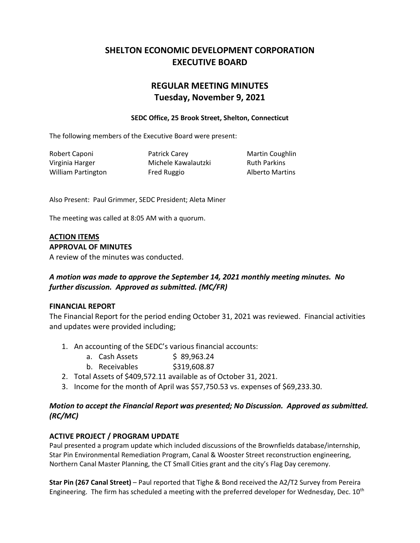# **SHELTON ECONOMIC DEVELOPMENT CORPORATION EXECUTIVE BOARD**

# **REGULAR MEETING MINUTES Tuesday, November 9, 2021**

### **SEDC Office, 25 Brook Street, Shelton, Connecticut**

The following members of the Executive Board were present:

Robert Caponi **Patrick Carey Constructs** Martin Coughlin Virginia Harger **Michele Kawalautzki** Ruth Parkins William Partington **Fred Ruggio Alberto Martins** 

Also Present: Paul Grimmer, SEDC President; Aleta Miner

The meeting was called at 8:05 AM with a quorum.

#### **ACTION ITEMS APPROVAL OF MINUTES**

A review of the minutes was conducted.

# *A motion was made to approve the September 14, 2021 monthly meeting minutes. No further discussion. Approved as submitted. (MC/FR)*

# **FINANCIAL REPORT**

The Financial Report for the period ending October 31, 2021 was reviewed. Financial activities and updates were provided including;

- 1. An accounting of the SEDC's various financial accounts:
	- a. Cash Assets \$ 89,963.24
	- b. Receivables \$319,608.87
- 2. Total Assets of \$409,572.11 available as of October 31, 2021.
- 3. Income for the month of April was \$57,750.53 vs. expenses of \$69,233.30.

# *Motion to accept the Financial Report was presented; No Discussion. Approved as submitted. (RC/MC)*

# **ACTIVE PROJECT / PROGRAM UPDATE**

Paul presented a program update which included discussions of the Brownfields database/internship, Star Pin Environmental Remediation Program, Canal & Wooster Street reconstruction engineering, Northern Canal Master Planning, the CT Small Cities grant and the city's Flag Day ceremony.

**Star Pin (267 Canal Street)** – Paul reported that Tighe & Bond received the A2/T2 Survey from Pereira Engineering. The firm has scheduled a meeting with the preferred developer for Wednesday, Dec. 10<sup>th</sup>